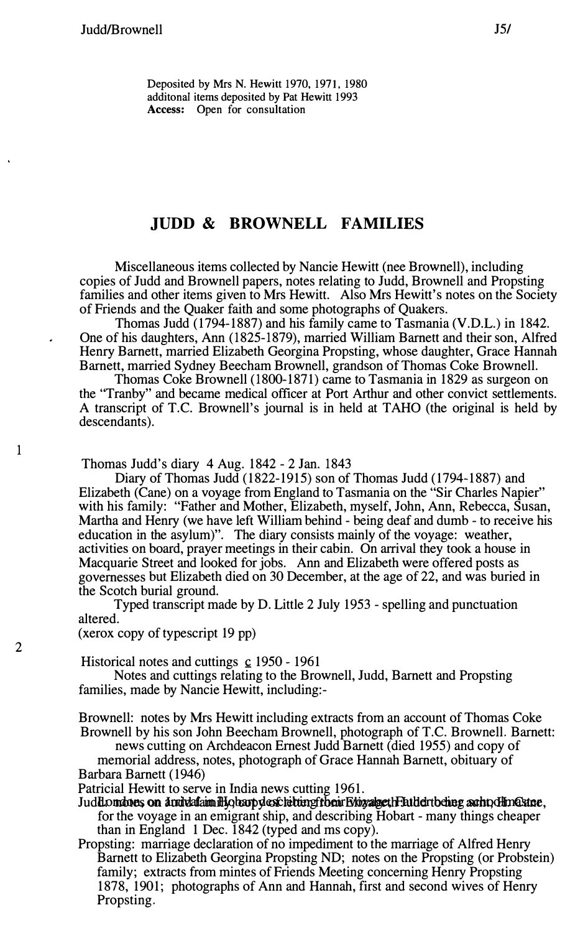Deposited by Mrs N. Hewitt 1970, 1971, 1980 additonal items deposited by Pat Hewitt 1993 **Access:** Open for consultation

## **JUDD & BROWNELL FAMILIES**

Miscellaneous items collected by Nancie Hewitt (nee Brownell), including copies of Judd and Brownell papers, notes relating to Judd, Brownell and Propsting families and other items given to Mrs Hewitt. Also Mrs Hewitt's notes on the Society of Friends and the Quaker faith and some photographs of Quakers.

Thomas Judd (1794-1887) and his family came to Tasmania (V.D.L.) in 1842. One of his daughters, Ann (1825-1879), married William Barnett and their son, Alfred Henry Barnett, married Elizabeth Georgina Propsting, whose daughter, Grace Hannah Barnett, married Sydney Beecham Brownell, grandson of Thomas Coke Brownell.

Thomas Coke Brownell (1800-1871) came to Tasmania in 1829 as surgeon on the "Tranby" and became medical officer at Port Arthur and other convict settlements. A transcript of T.C. Brownell's journal is in held at TAHO (the original is held by descendants).

Thomas Judd's diary 4 Aug. 1842 - 2 Jan. 1843

Diary of Thomas Judd (1822-1915) son of Thomas Judd (1794-1887) and Elizabeth (Cane) on a voyage from England to Tasmania on the "Sir Charles Napier" with his family: "Father and Mother, Elizabeth, myself, John, Ann, Rebecca, Susan, Martha and Henry (we have left William behind - being deaf and dumb - to receive his education in the asylum)". The diary consists mainly of the voyage: weather, activities on board, prayer meetings in their cabin. On arrival they took a house in Macquarie Street and looked for jobs. Ann and Elizabeth were offered posts as governesses but Elizabeth died on 30 December, at the age of 22, and was buried in the Scotch burial ground.

Typed transcript made by D. Little 2 July 1953 - spelling and punctuation altered.

(xerox copy of typescript 19 pp)

1

2

Historical notes and cuttings  $\mathbf{\underline{c}}$  1950 - 1961

Notes and cuttings relating to the Brownell, Judd, Barnett and Propsting families, made by Nancie Hewitt, including:-

Brownell: notes by Mrs Hewitt including extracts from an account of Thomas Coke Brownell by his son John Beecham Brownell, photograph of T.C. Brownell. Barnett:

news cutting on Archdeacon Ernest Judd Barnett (died 1955) and copy of memorial address, notes, photograph of Grace Hannah Barnett, obituary of Barbara Barnett ( 1946)

Patricial Hewitt to serve in India news cutting 1961.

Jud Homdones on arrival aim Highart describition from Elozabeth Fathleir being acht of In Gatne, for the voyage in an emigrant ship, and describing Hobart - many things cheaper than in England 1 Dec. 1842 (typed and ms copy).

Propsting: marriage declaration of no impediment to the marriage of Alfred Henry Barnett to Elizabeth Georgina Propsting ND; notes on the Propsting (or Probstein) family; extracts from mintes of Friends Meeting concerning Henry Propsting 1878, 1901; photographs of Ann and Hannah, first and second wives of Henry Propsting.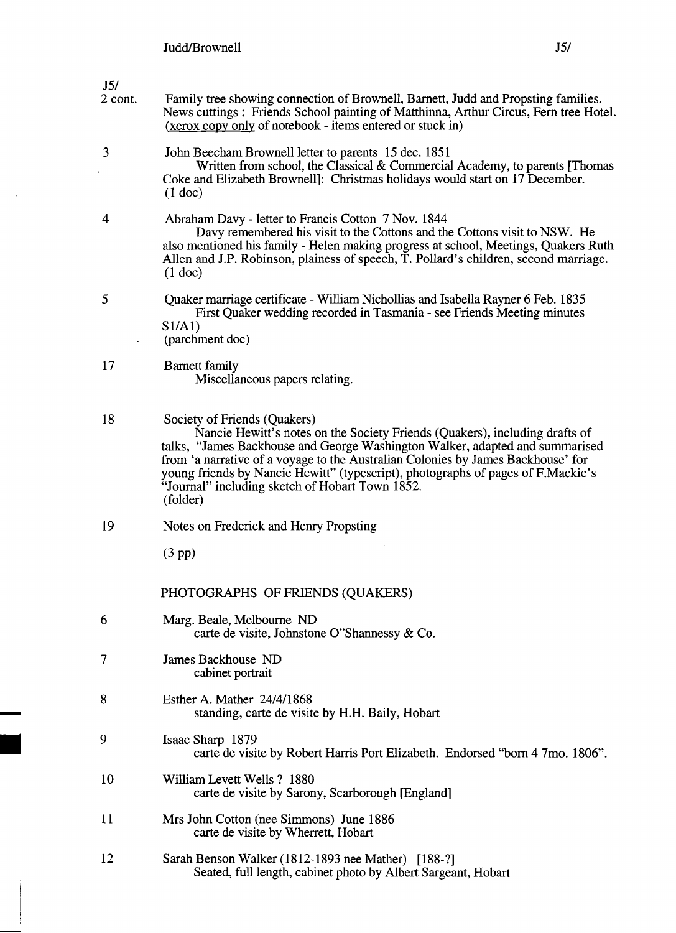- 3 John Beecham Brownell letter to parents 15 dec. 1851 Written from school, the Classical & Commercial Academy, to parents [Thomas Coke and Elizabeth Brownell]: Christmas holidays would start on 17 December. (1 doc)
- 4 Abraham Davy -letter to Francis Cotton 7 Nov. 1844 Davy remembered his visit to the Cottons and the Cottons visit to NSW. He

also mentioned his family - Helen making progress at school, Meetings, Quakers Ruth Allen and J.P. Robinson, plainess of speech, T. Pollard's children, second marriage. (1 doc)

- 5 Quaker marriage certificate William Nichollias and Isabella Rayner 6 Feb. 1835 First Quaker wedding recorded in Tasmania - see Friends Meeting minutes  $S1/A1$ (parchment doc)
- 17 Barnett family Miscellaneous papers relating.

## 18 Society of Friends (Quakers)

Nancie Hewitt's notes on the Society Friends (Quakers), including drafts of talks, "James Backhouse and George Washington Walker, adapted and summarised from 'a narrative of a voyage to the Australian Colonies by James Backhouse' for young friends by Nancie Hewitt" (typescript), photographs of pages of F.Mackie's "Journal" including sketch of Hobart Town 1852. (folder)

- 19 Notes on Frederick and Henry Propsting
	- (3 pp)

## PHOTOGRAPHS OF FRIENDS (QUAKERS)

- 6 Marg. Beale, Melbourne ND carte de visite, Johnstone O"Shannessy & Co.
- 7 James Backhouse ND cabinet portrait
- 8 Esther A. Mather 24/4/1868 standing, carte de visite by H.H. Baily, Hobart
- 9 Isaac Sharp 1879 carte de visite by Robert Harris Port Elizabeth. Endorsed "born 4 7mo. 1806".
- 10 William Levett Wells? 1880 carte de visite by Sarony, Scarborough [England]
- 11 Mrs John Cotton (nee Simmons) June 1886 carte de visite by Wherrett, Hobart
- 12 Sarah Benson Walker (1812-1893 nee Mather) [188-?] Seated, full length, cabinet photo by Albert Sargeant, Hobart